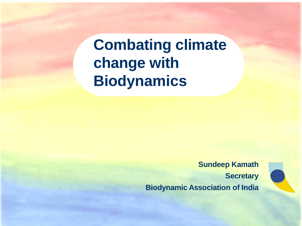**Combating climate change with Biodynamics**

> **Sundeep Kamath Secretary Biodynamic Association of India**

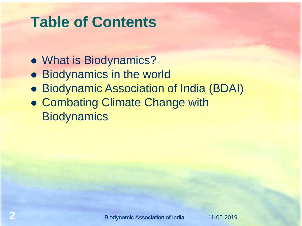# **Table of Contents**

- What is Biodynamics?
- **Biodynamics in the world**
- Biodynamic Association of India (BDAI)
- **Combating Climate Change with Biodynamics**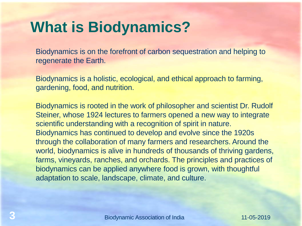# **What is Biodynamics?**

Biodynamics is on the forefront of carbon sequestration and helping to regenerate the Earth.

Biodynamics is a holistic, ecological, and ethical approach to farming, gardening, food, and nutrition.

Biodynamics is rooted in the work of philosopher and scientist Dr. Rudolf Steiner, whose 1924 lectures to farmers opened a new way to integrate scientific understanding with a recognition of spirit in nature. Biodynamics has continued to develop and evolve since the 1920s through the collaboration of many farmers and researchers. Around the world, biodynamics is alive in hundreds of thousands of thriving gardens, farms, vineyards, ranches, and orchards. The principles and practices of biodynamics can be applied anywhere food is grown, with thoughtful adaptation to scale, landscape, climate, and culture.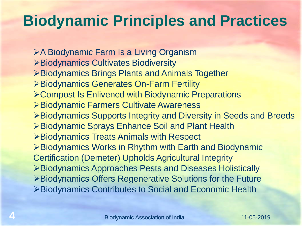# **Biodynamic Principles and Practices**

A Biodynamic Farm Is a Living Organism Biodynamics Cultivates Biodiversity **≻Biodynamics Brings Plants and Animals Together** Biodynamics Generates On-Farm Fertility Compost Is Enlivened with Biodynamic Preparations Biodynamic Farmers Cultivate Awareness Biodynamics Supports Integrity and Diversity in Seeds and Breeds Biodynamic Sprays Enhance Soil and Plant Health Biodynamics Treats Animals with Respect Biodynamics Works in Rhythm with Earth and Biodynamic Certification (Demeter) Upholds Agricultural Integrity Biodynamics Approaches Pests and Diseases Holistically Biodynamics Offers Regenerative Solutions for the Future Biodynamics Contributes to Social and Economic Health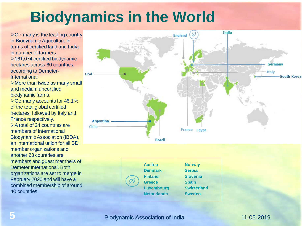# **Biodynamics in the World**

 $\triangleright$  Germany is the leading country in Biodynamic Agriculture in terms of certified land and India in number of farmers 161,074 certified biodynamic hectares across 60 countries. according to Demeter-International

>More than twice as many small and medium uncertified biodynamic farms.

Germany accounts for 45.1% of the total global certified hectares, followed by Italy and France respectively. **Example 124 ≥ A total of 24 countries are** 

members of International Biodynamic Association (IBDA), an international union for all BD member organizations and another 23 countries are members and guest members of Demeter International. Both organizations are set to merge in February 2020 and will have a combined membership of around 40 countries



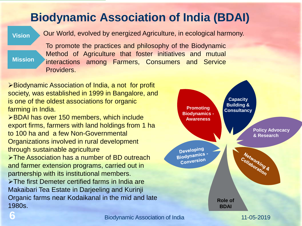## **Biodynamic Association of India (BDAI)**

**Vision** Our World, evolved by energized Agriculture, in ecological harmony.

## **Mission**

To promote the practices and philosophy of the Biodynamic Method of Agriculture that foster initiatives and mutual interactions among Farmers, Consumers and Service Providers.

**≻Biodynamic Association of India, a not for profit** society, was established in 1999 in Bangalore, and is one of the oldest associations for organic farming in India.

BDAI has over 150 members, which include export firms, farmers with land holdings from 1 ha to 100 ha and a few Non-Governmental Organizations involved in rural development through sustainable agriculture

>The Association has a number of BD outreach and farmer extension programs, carried out in partnership with its institutional members.

The first Demeter certified farms in India are Makaibari Tea Estate in Darjeeling and Kurinji Organic farms near Kodaikanal in the mid and late 1980s.

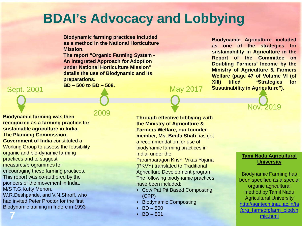## **BDAI's Advocacy and Lobbying**

**Biodynamic farming practices included as a method in the National Horticulture Mission.** 

**The report "Organic Farming System - An Integrated Approach for Adoption under National Horticulture Mission" details the use of Biodynamic and its preparations.** 

**BD – 500 to BD – 508.**

Sept. 2001

2009

**Biodynamic farming was then recognized as a farming practice for sustainable agriculture in India.**  The **Planning Commission, Government of India** constituted a Working Group to assess the feasibility organic and bio-dynamic farming practices and to suggest measures/programmes for encouraging these farming practices. This report was co-authored by the pioneers of the movement in India, M/S T.G.Kutty Menon, W.R.Deshpande, and V.N.Shroff, who had invited Peter Proctor for the first

Biodynamic training in Indore in 1993

**7**

### **Through effective lobbying with the Ministry of Agriculture & Farmers Welfare, our founder member, Ms. Binita Shah** has got a recommendation for use of biodynamic farming practices in India, under the Paramparagon Krishi Vikas Yojana

May 2017

(PKVY) translated to Traditional Agriculture Development program The following biodynamic practices have been included:

- Cow Pat Pit Based Composting (CPP)
- Biodynamic Composting
- $BD 500$
- $BD 501$

**Biodynamic Agriculture included as one of the strategies for sustainability in Agriculture in the Report of the Committee on Doubling Farmers' Income by the Ministry of Agriculture & Farmers Welfare (page 47 of Volume VI (of XIII) titled "Strategies for Sustainability in Agriculture").**



### **Tami Nadu Agricultural University**

Biodynamic Farming has been specified as a special organic agricultural method by Tamil Nadu Agricultural University [http://agritech.tnau.ac.in/ta](http://agritech.tnau.ac.in/ta/org_farm/orgfarm_biodynmic.html) /org\_farm/orgfarm\_biodyn mic.html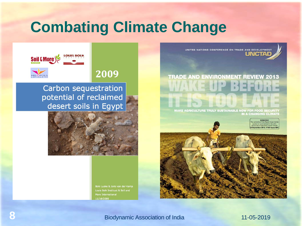# **Combating Climate Change**

UNITED NATIONS CONFERENCE ON TRADE AND DEVELOPMENT UNGIVA

# **TRADE AND ENVIRONMENT REVIEW 2013**

**MAKE AGRICULTURE TRULY SUSTAINABLE NOW FOR FOOD SECURITY IN A CHANGING CLIMATE** 

> EMBARGO e contents of this Report must not<br>quoted or summarized in the print 8 September 2013, 17:00 hours GMT



2009



Carbon sequestration potential of reclaimed desert soils in Egypt



Boki Luske & Joris van der Kamp Louis Bolk Instituut & Soil and More International 11/16/2009

**Biodynamic Association of India 11-05-2019**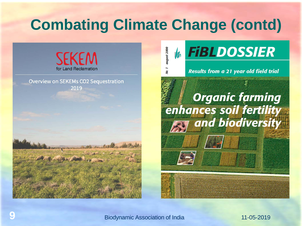# **Combating Climate Change (contd)**

august 2000



**Overview on SEKEMs CO2 Sequestration** 2019





**Results from a 21 year old field trial** 

# **Example 18 September 2018**<br> **Example 18 September 2018**<br> **Example 19 September 2019**<br> **Example 19 September 2019**